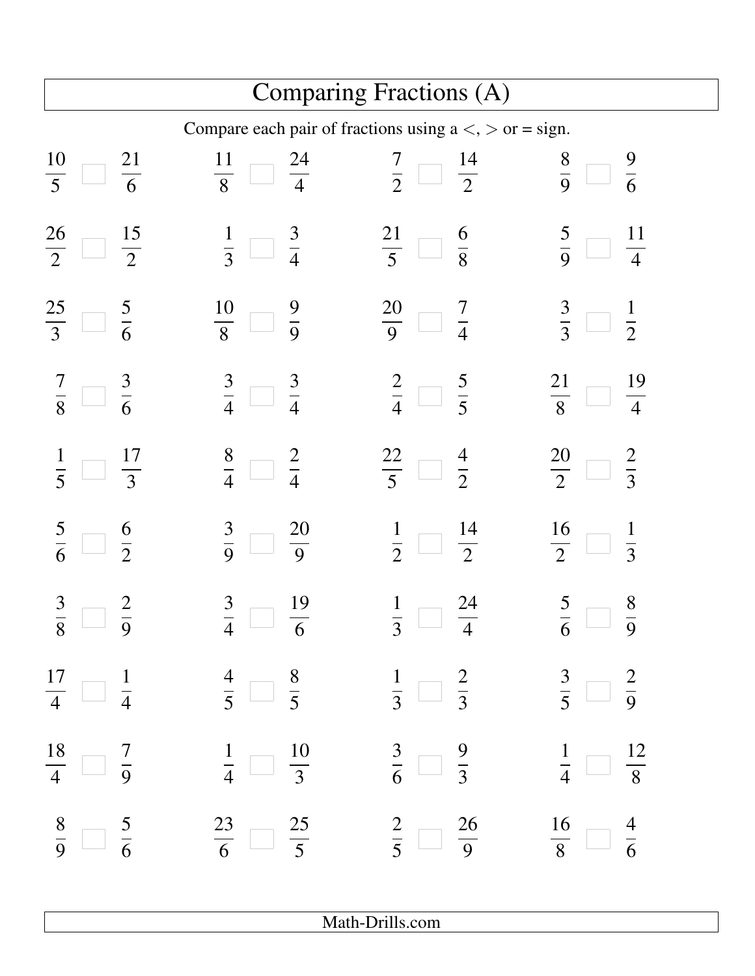| Comparing Fractions (A)                                   |                                                                                                                  |                                                           |                                                         |  |  |
|-----------------------------------------------------------|------------------------------------------------------------------------------------------------------------------|-----------------------------------------------------------|---------------------------------------------------------|--|--|
| Compare each pair of fractions using $a <, > or = sign$ . |                                                                                                                  |                                                           |                                                         |  |  |
| $\frac{10}{5}$<br>$\frac{21}{6}$                          | $\frac{11}{8}$<br>$\frac{24}{4}$                                                                                 | $rac{7}{2}$<br>$\frac{14}{2}$                             | $\frac{9}{6}$<br>$\frac{8}{9}$                          |  |  |
| $\frac{26}{2}$<br>$\frac{15}{2}$                          | $\frac{1}{3}$<br>$rac{3}{4}$<br>h,                                                                               | $rac{21}{5}$<br>$\frac{6}{8}$                             | $\frac{11}{4}$<br>$rac{5}{9}$                           |  |  |
| $\frac{25}{3}$<br>$rac{5}{6}$                             | $\frac{9}{9}$<br>$\frac{10}{8}$                                                                                  | $\frac{20}{9}$<br>$\frac{7}{4}$<br>I.                     | $rac{3}{3}$<br>$\frac{1}{2}$                            |  |  |
| $\frac{3}{6}$<br>$\frac{7}{8}$                            | $rac{3}{4}$<br>$rac{3}{4}$<br>$\mathbb{R}^n$                                                                     | $rac{2}{4}$<br>$rac{5}{5}$<br>$\mathbb{R}^n$              | $\frac{19}{4}$<br>$\frac{21}{8}$                        |  |  |
| $\frac{17}{3}$                                            | $\frac{8}{4}$<br>$\frac{2}{4}$<br>k.                                                                             | $\frac{22}{5}$<br>$rac{4}{2}$<br>I.                       | $\frac{20}{2}$<br>$rac{2}{3}$                           |  |  |
| $rac{5}{6}$<br>$\frac{6}{2}$                              | $\frac{20}{9}$<br>$rac{3}{9}$                                                                                    | $\frac{14}{2}$<br>$\frac{1}{2}$                           | $\frac{16}{2}$<br>$\frac{1}{3}$                         |  |  |
| $\frac{3}{1}$<br>$\frac{2}{\sqrt{2}}$<br>$8 \quad 9$      | $\frac{3}{1}$<br>$\frac{19}{1}$<br>$4\quad 6$                                                                    | $\frac{1}{1}$<br>$\frac{24}{}$<br>$3 \quad 4$             | $\frac{5}{1}$<br>$\frac{8}{1}$<br>$6 \longrightarrow 9$ |  |  |
|                                                           | $\frac{17}{4}$ $\frac{1}{4}$ $\frac{4}{5}$ $\frac{8}{5}$ $\frac{1}{3}$ $\frac{2}{3}$ $\frac{3}{5}$ $\frac{2}{9}$ |                                                           |                                                         |  |  |
| $\frac{18}{4}$ $\Box$ $\frac{7}{9}$                       | $rac{1}{4}$ $rac{10}{3}$                                                                                         | $\frac{3}{6}$ $\frac{9}{3}$ $\frac{1}{4}$ $\frac{12}{8}$  |                                                         |  |  |
| $rac{8}{9}$ $\frac{5}{6}$                                 | $rac{23}{6}$ $rac{25}{5}$                                                                                        | $\frac{2}{5}$ $\frac{26}{9}$ $\frac{16}{8}$ $\frac{4}{6}$ |                                                         |  |  |